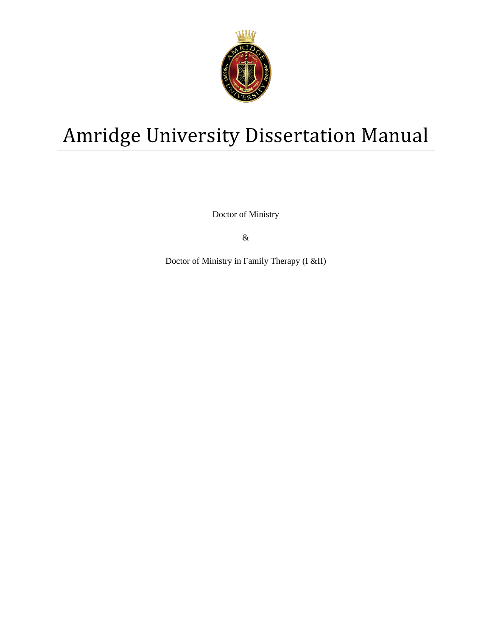

# Amridge University Dissertation Manual

Doctor of Ministry

 $\&$ 

Doctor of Ministry in Family Therapy (I &II)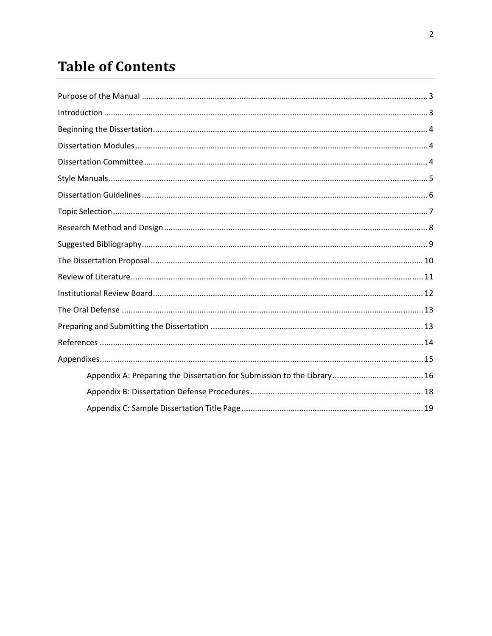# **Table of Contents**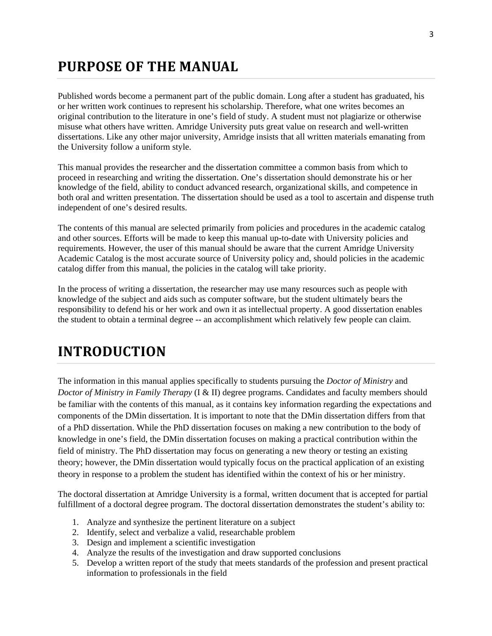# **PURPOSE OF THE MANUAL**

Published words become a permanent part of the public domain. Long after a student has graduated, his or her written work continues to represent his scholarship. Therefore, what one writes becomes an original contribution to the literature in one's field of study. A student must not plagiarize or otherwise misuse what others have written. Amridge University puts great value on research and well-written dissertations. Like any other major university, Amridge insists that all written materials emanating from the University follow a uniform style.

This manual provides the researcher and the dissertation committee a common basis from which to proceed in researching and writing the dissertation. One's dissertation should demonstrate his or her knowledge of the field, ability to conduct advanced research, organizational skills, and competence in both oral and written presentation. The dissertation should be used as a tool to ascertain and dispense truth independent of one's desired results.

The contents of this manual are selected primarily from policies and procedures in the academic catalog and other sources. Efforts will be made to keep this manual up-to-date with University policies and requirements. However, the user of this manual should be aware that the current Amridge University Academic Catalog is the most accurate source of University policy and, should policies in the academic catalog differ from this manual, the policies in the catalog will take priority.

In the process of writing a dissertation, the researcher may use many resources such as people with knowledge of the subject and aids such as computer software, but the student ultimately bears the responsibility to defend his or her work and own it as intellectual property. A good dissertation enables the student to obtain a terminal degree -- an accomplishment which relatively few people can claim.

# **INTRODUCTION**

The information in this manual applies specifically to students pursuing the *Doctor of Ministry* and *Doctor of Ministry in Family Therapy* (I & II) degree programs. Candidates and faculty members should be familiar with the contents of this manual, as it contains key information regarding the expectations and components of the DMin dissertation. It is important to note that the DMin dissertation differs from that of a PhD dissertation. While the PhD dissertation focuses on making a new contribution to the body of knowledge in one's field, the DMin dissertation focuses on making a practical contribution within the field of ministry. The PhD dissertation may focus on generating a new theory or testing an existing theory; however, the DMin dissertation would typically focus on the practical application of an existing theory in response to a problem the student has identified within the context of his or her ministry.

The doctoral dissertation at Amridge University is a formal, written document that is accepted for partial fulfillment of a doctoral degree program. The doctoral dissertation demonstrates the student's ability to:

- 1. Analyze and synthesize the pertinent literature on a subject
- 2. Identify, select and verbalize a valid, researchable problem
- 3. Design and implement a scientific investigation
- 4. Analyze the results of the investigation and draw supported conclusions
- 5. Develop a written report of the study that meets standards of the profession and present practical information to professionals in the field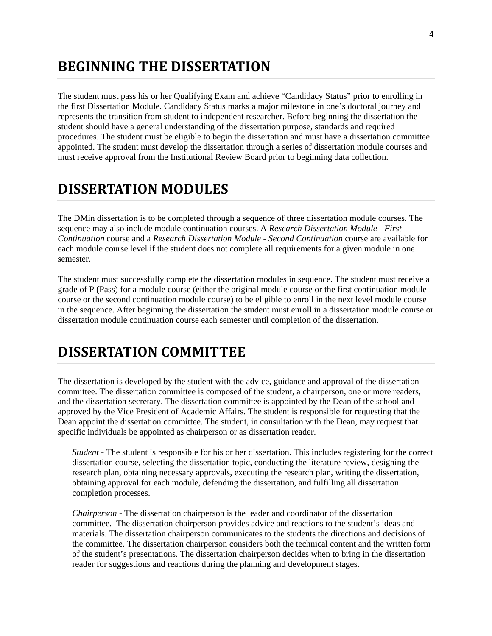## **BEGINNING THE DISSERTATION**

The student must pass his or her Qualifying Exam and achieve "Candidacy Status" prior to enrolling in the first Dissertation Module. Candidacy Status marks a major milestone in one's doctoral journey and represents the transition from student to independent researcher. Before beginning the dissertation the student should have a general understanding of the dissertation purpose, standards and required procedures. The student must be eligible to begin the dissertation and must have a dissertation committee appointed. The student must develop the dissertation through a series of dissertation module courses and must receive approval from the Institutional Review Board prior to beginning data collection.

# **DISSERTATION MODULES**

The DMin dissertation is to be completed through a sequence of three dissertation module courses. The sequence may also include module continuation courses. A *Research Dissertation Module - First Continuation* course and a *Research Dissertation Module - Second Continuation* course are available for each module course level if the student does not complete all requirements for a given module in one semester.

The student must successfully complete the dissertation modules in sequence. The student must receive a grade of P (Pass) for a module course (either the original module course or the first continuation module course or the second continuation module course) to be eligible to enroll in the next level module course in the sequence. After beginning the dissertation the student must enroll in a dissertation module course or dissertation module continuation course each semester until completion of the dissertation.

# **DISSERTATION COMMITTEE**

The dissertation is developed by the student with the advice, guidance and approval of the dissertation committee. The dissertation committee is composed of the student, a chairperson, one or more readers, and the dissertation secretary. The dissertation committee is appointed by the Dean of the school and approved by the Vice President of Academic Affairs. The student is responsible for requesting that the Dean appoint the dissertation committee. The student, in consultation with the Dean, may request that specific individuals be appointed as chairperson or as dissertation reader.

*Student* - The student is responsible for his or her dissertation. This includes registering for the correct dissertation course, selecting the dissertation topic, conducting the literature review, designing the research plan, obtaining necessary approvals, executing the research plan, writing the dissertation, obtaining approval for each module, defending the dissertation, and fulfilling all dissertation completion processes.

*Chairperson* - The dissertation chairperson is the leader and coordinator of the dissertation committee. The dissertation chairperson provides advice and reactions to the student's ideas and materials. The dissertation chairperson communicates to the students the directions and decisions of the committee. The dissertation chairperson considers both the technical content and the written form of the student's presentations. The dissertation chairperson decides when to bring in the dissertation reader for suggestions and reactions during the planning and development stages.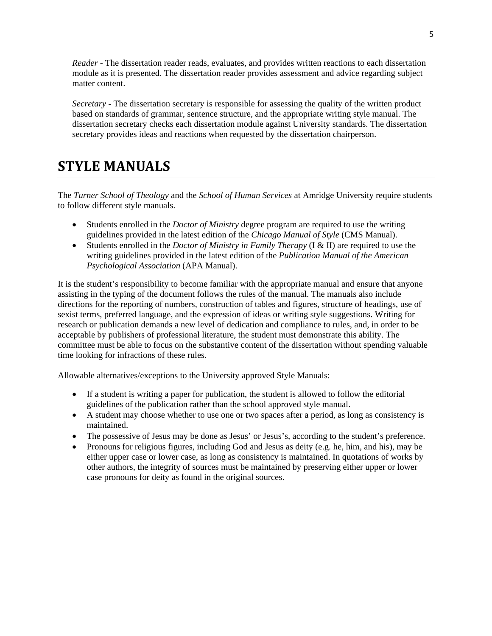*Reader* - The dissertation reader reads, evaluates, and provides written reactions to each dissertation module as it is presented. The dissertation reader provides assessment and advice regarding subject matter content.

*Secretary* - The dissertation secretary is responsible for assessing the quality of the written product based on standards of grammar, sentence structure, and the appropriate writing style manual. The dissertation secretary checks each dissertation module against University standards. The dissertation secretary provides ideas and reactions when requested by the dissertation chairperson.

### **STYLE MANUALS**

The *Turner School of Theology* and the *School of Human Services* at Amridge University require students to follow different style manuals.

- Students enrolled in the *Doctor of Ministry* degree program are required to use the writing guidelines provided in the latest edition of the *Chicago Manual of Style* (CMS Manual).
- Students enrolled in the *Doctor of Ministry in Family Therapy* (I & II) are required to use the writing guidelines provided in the latest edition of the *Publication Manual of the American Psychological Association* (APA Manual).

It is the student's responsibility to become familiar with the appropriate manual and ensure that anyone assisting in the typing of the document follows the rules of the manual. The manuals also include directions for the reporting of numbers, construction of tables and figures, structure of headings, use of sexist terms, preferred language, and the expression of ideas or writing style suggestions. Writing for research or publication demands a new level of dedication and compliance to rules, and, in order to be acceptable by publishers of professional literature, the student must demonstrate this ability. The committee must be able to focus on the substantive content of the dissertation without spending valuable time looking for infractions of these rules.

Allowable alternatives/exceptions to the University approved Style Manuals:

- If a student is writing a paper for publication, the student is allowed to follow the editorial guidelines of the publication rather than the school approved style manual.
- A student may choose whether to use one or two spaces after a period, as long as consistency is maintained.
- The possessive of Jesus may be done as Jesus' or Jesus's, according to the student's preference.
- Pronouns for religious figures, including God and Jesus as deity (e.g. he, him, and his), may be either upper case or lower case, as long as consistency is maintained. In quotations of works by other authors, the integrity of sources must be maintained by preserving either upper or lower case pronouns for deity as found in the original sources.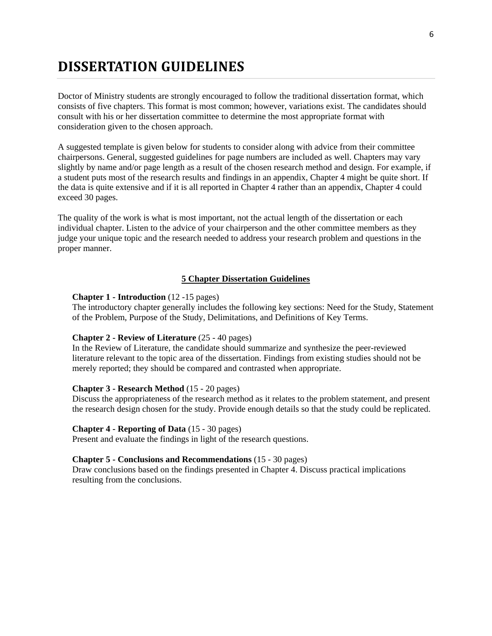## **DISSERTATION GUIDELINES**

Doctor of Ministry students are strongly encouraged to follow the traditional dissertation format, which consists of five chapters. This format is most common; however, variations exist. The candidates should consult with his or her dissertation committee to determine the most appropriate format with consideration given to the chosen approach.

A suggested template is given below for students to consider along with advice from their committee chairpersons. General, suggested guidelines for page numbers are included as well. Chapters may vary slightly by name and/or page length as a result of the chosen research method and design. For example, if a student puts most of the research results and findings in an appendix, Chapter 4 might be quite short. If the data is quite extensive and if it is all reported in Chapter 4 rather than an appendix, Chapter 4 could exceed 30 pages.

The quality of the work is what is most important, not the actual length of the dissertation or each individual chapter. Listen to the advice of your chairperson and the other committee members as they judge your unique topic and the research needed to address your research problem and questions in the proper manner.

### **5 Chapter Dissertation Guidelines**

### **Chapter 1 - Introduction** (12 -15 pages)

The introductory chapter generally includes the following key sections: Need for the Study, Statement of the Problem, Purpose of the Study, Delimitations, and Definitions of Key Terms.

### **Chapter 2 - Review of Literature** (25 - 40 pages)

In the Review of Literature, the candidate should summarize and synthesize the peer-reviewed literature relevant to the topic area of the dissertation. Findings from existing studies should not be merely reported; they should be compared and contrasted when appropriate.

### **Chapter 3 - Research Method** (15 - 20 pages)

Discuss the appropriateness of the research method as it relates to the problem statement, and present the research design chosen for the study. Provide enough details so that the study could be replicated.

### **Chapter 4 - Reporting of Data** (15 - 30 pages)

Present and evaluate the findings in light of the research questions.

### **Chapter 5 - Conclusions and Recommendations** (15 - 30 pages)

Draw conclusions based on the findings presented in Chapter 4. Discuss practical implications resulting from the conclusions.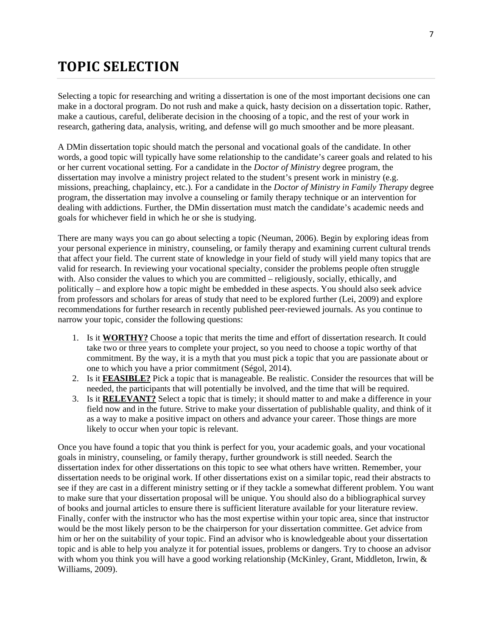# **TOPIC SELECTION**

Selecting a topic for researching and writing a dissertation is one of the most important decisions one can make in a doctoral program. Do not rush and make a quick, hasty decision on a dissertation topic. Rather, make a cautious, careful, deliberate decision in the choosing of a topic, and the rest of your work in research, gathering data, analysis, writing, and defense will go much smoother and be more pleasant.

A DMin dissertation topic should match the personal and vocational goals of the candidate. In other words, a good topic will typically have some relationship to the candidate's career goals and related to his or her current vocational setting. For a candidate in the *Doctor of Ministry* degree program, the dissertation may involve a ministry project related to the student's present work in ministry (e.g. missions, preaching, chaplaincy, etc.). For a candidate in the *Doctor of Ministry in Family Therapy* degree program, the dissertation may involve a counseling or family therapy technique or an intervention for dealing with addictions. Further, the DMin dissertation must match the candidate's academic needs and goals for whichever field in which he or she is studying.

There are many ways you can go about selecting a topic (Neuman, 2006). Begin by exploring ideas from your personal experience in ministry, counseling, or family therapy and examining current cultural trends that affect your field. The current state of knowledge in your field of study will yield many topics that are valid for research. In reviewing your vocational specialty, consider the problems people often struggle with. Also consider the values to which you are committed – religiously, socially, ethically, and politically – and explore how a topic might be embedded in these aspects. You should also seek advice from professors and scholars for areas of study that need to be explored further (Lei, 2009) and explore recommendations for further research in recently published peer-reviewed journals. As you continue to narrow your topic, consider the following questions:

- 1. Is it **WORTHY?** Choose a topic that merits the time and effort of dissertation research. It could take two or three years to complete your project, so you need to choose a topic worthy of that commitment. By the way, it is a myth that you must pick a topic that you are passionate about or one to which you have a prior commitment (Ségol, 2014).
- 2. Is it **FEASIBLE?** Pick a topic that is manageable. Be realistic. Consider the resources that will be needed, the participants that will potentially be involved, and the time that will be required.
- 3. Is it **RELEVANT?** Select a topic that is timely; it should matter to and make a difference in your field now and in the future. Strive to make your dissertation of publishable quality, and think of it as a way to make a positive impact on others and advance your career. Those things are more likely to occur when your topic is relevant.

Once you have found a topic that you think is perfect for you, your academic goals, and your vocational goals in ministry, counseling, or family therapy, further groundwork is still needed. Search the dissertation index for other dissertations on this topic to see what others have written. Remember, your dissertation needs to be original work. If other dissertations exist on a similar topic, read their abstracts to see if they are cast in a different ministry setting or if they tackle a somewhat different problem. You want to make sure that your dissertation proposal will be unique. You should also do a bibliographical survey of books and journal articles to ensure there is sufficient literature available for your literature review. Finally, confer with the instructor who has the most expertise within your topic area, since that instructor would be the most likely person to be the chairperson for your dissertation committee. Get advice from him or her on the suitability of your topic. Find an advisor who is knowledgeable about your dissertation topic and is able to help you analyze it for potential issues, problems or dangers. Try to choose an advisor with whom you think you will have a good working relationship (McKinley, Grant, Middleton, Irwin, & Williams, 2009).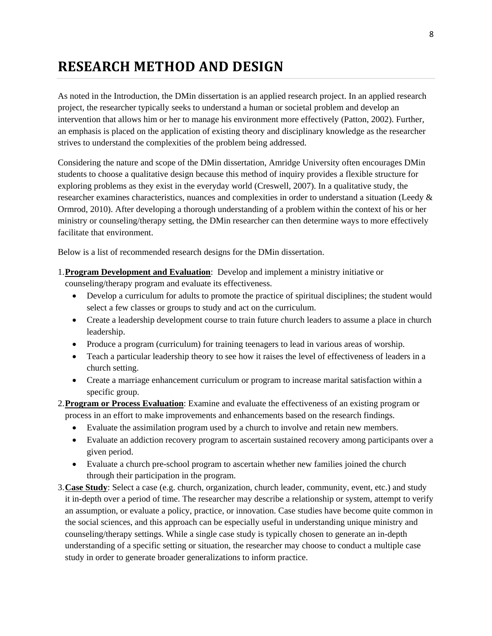# **RESEARCH METHOD AND DESIGN**

As noted in the Introduction, the DMin dissertation is an applied research project. In an applied research project, the researcher typically seeks to understand a human or societal problem and develop an intervention that allows him or her to manage his environment more effectively (Patton, 2002). Further, an emphasis is placed on the application of existing theory and disciplinary knowledge as the researcher strives to understand the complexities of the problem being addressed.

Considering the nature and scope of the DMin dissertation, Amridge University often encourages DMin students to choose a qualitative design because this method of inquiry provides a flexible structure for exploring problems as they exist in the everyday world (Creswell, 2007). In a qualitative study, the researcher examines characteristics, nuances and complexities in order to understand a situation (Leedy & Ormrod, 2010). After developing a thorough understanding of a problem within the context of his or her ministry or counseling/therapy setting, the DMin researcher can then determine ways to more effectively facilitate that environment.

Below is a list of recommended research designs for the DMin dissertation.

- 1.**Program Development and Evaluation**: Develop and implement a ministry initiative or counseling/therapy program and evaluate its effectiveness.
	- Develop a curriculum for adults to promote the practice of spiritual disciplines; the student would select a few classes or groups to study and act on the curriculum.
	- Create a leadership development course to train future church leaders to assume a place in church leadership.
	- Produce a program (curriculum) for training teenagers to lead in various areas of worship.
	- Teach a particular leadership theory to see how it raises the level of effectiveness of leaders in a church setting.
	- Create a marriage enhancement curriculum or program to increase marital satisfaction within a specific group.
- 2.**Program or Process Evaluation**: Examine and evaluate the effectiveness of an existing program or process in an effort to make improvements and enhancements based on the research findings.
	- Evaluate the assimilation program used by a church to involve and retain new members.
	- Evaluate an addiction recovery program to ascertain sustained recovery among participants over a given period.
	- Evaluate a church pre-school program to ascertain whether new families joined the church through their participation in the program.
- 3.**Case Study**: Select a case (e.g. church, organization, church leader, community, event, etc.) and study it in-depth over a period of time. The researcher may describe a relationship or system, attempt to verify an assumption, or evaluate a policy, practice, or innovation. Case studies have become quite common in the social sciences, and this approach can be especially useful in understanding unique ministry and counseling/therapy settings. While a single case study is typically chosen to generate an in-depth understanding of a specific setting or situation, the researcher may choose to conduct a multiple case study in order to generate broader generalizations to inform practice.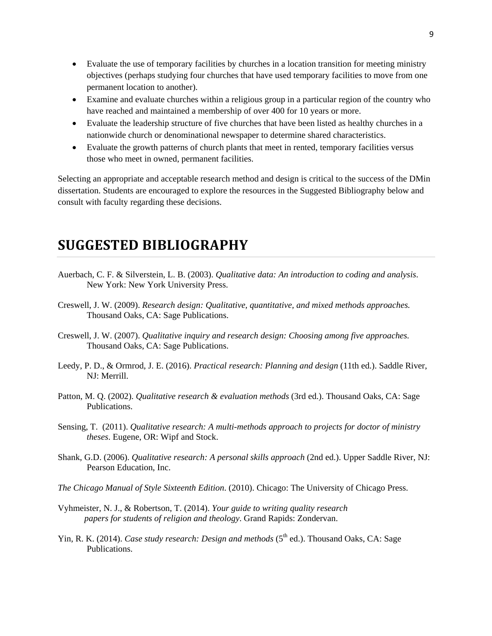- Evaluate the use of temporary facilities by churches in a location transition for meeting ministry objectives (perhaps studying four churches that have used temporary facilities to move from one permanent location to another).
- Examine and evaluate churches within a religious group in a particular region of the country who have reached and maintained a membership of over 400 for 10 years or more.
- Evaluate the leadership structure of five churches that have been listed as healthy churches in a nationwide church or denominational newspaper to determine shared characteristics.
- Evaluate the growth patterns of church plants that meet in rented, temporary facilities versus those who meet in owned, permanent facilities.

Selecting an appropriate and acceptable research method and design is critical to the success of the DMin dissertation. Students are encouraged to explore the resources in the Suggested Bibliography below and consult with faculty regarding these decisions.

# **SUGGESTED BIBLIOGRAPHY**

- Auerbach, C. F. & Silverstein, L. B. (2003). *Qualitative data: An introduction to coding and analysis*. New York: New York University Press.
- Creswell, J. W. (2009). *Research design: Qualitative, quantitative, and mixed methods approaches.* Thousand Oaks, CA: Sage Publications.
- Creswell, J. W. (2007). *Qualitative inquiry and research design: Choosing among five approaches.*  Thousand Oaks, CA: Sage Publications.
- Leedy, P. D., & Ormrod, J. E. (2016). *Practical research: Planning and design* (11th ed.). Saddle River, NJ: Merrill.
- Patton, M. Q. (2002). *Qualitative research & evaluation methods* (3rd ed.). Thousand Oaks, CA: Sage Publications.
- Sensing, T. (2011). *Qualitative research: A multi-methods approach to projects for doctor of ministry theses*. Eugene, OR: Wipf and Stock.
- Shank, G.D. (2006). *Qualitative research: A personal skills approach* (2nd ed.). Upper Saddle River, NJ: Pearson Education, Inc.
- *The Chicago Manual of Style Sixteenth Edition*. (2010). Chicago: The University of Chicago Press.
- Vyhmeister, N. J., & Robertson, T. (2014). *Your guide to writing quality research papers for students of religion and theology*. Grand Rapids: Zondervan.
- Yin, R. K. (2014). *Case study research: Design and methods* (5<sup>th</sup> ed.). Thousand Oaks, CA: Sage Publications.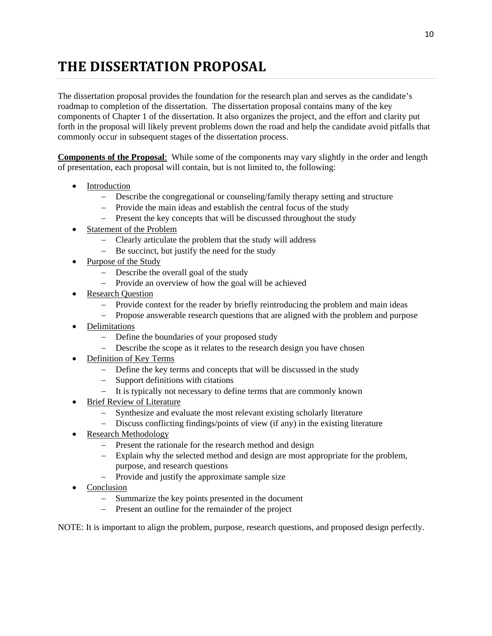# **THE DISSERTATION PROPOSAL**

The dissertation proposal provides the foundation for the research plan and serves as the candidate's roadmap to completion of the dissertation. The dissertation proposal contains many of the key components of Chapter 1 of the dissertation. It also organizes the project, and the effort and clarity put forth in the proposal will likely prevent problems down the road and help the candidate avoid pitfalls that commonly occur in subsequent stages of the dissertation process.

**Components of the Proposal**: While some of the components may vary slightly in the order and length of presentation, each proposal will contain, but is not limited to, the following:

- Introduction
	- Describe the congregational or counseling/family therapy setting and structure
	- Provide the main ideas and establish the central focus of the study
	- Present the key concepts that will be discussed throughout the study
- Statement of the Problem
	- Clearly articulate the problem that the study will address
	- Be succinct, but justify the need for the study
- Purpose of the Study
	- Describe the overall goal of the study
	- Provide an overview of how the goal will be achieved
- Research Question
	- Provide context for the reader by briefly reintroducing the problem and main ideas
	- Propose answerable research questions that are aligned with the problem and purpose
- Delimitations
	- Define the boundaries of your proposed study
	- Describe the scope as it relates to the research design you have chosen
- Definition of Key Terms
	- Define the key terms and concepts that will be discussed in the study
	- Support definitions with citations
	- It is typically not necessary to define terms that are commonly known
- Brief Review of Literature
	- Synthesize and evaluate the most relevant existing scholarly literature
	- Discuss conflicting findings/points of view (if any) in the existing literature
- Research Methodology
	- Present the rationale for the research method and design
	- Explain why the selected method and design are most appropriate for the problem, purpose, and research questions
	- $P$  Provide and justify the approximate sample size
- Conclusion
	- Summarize the key points presented in the document
	- Present an outline for the remainder of the project

NOTE: It is important to align the problem, purpose, research questions, and proposed design perfectly.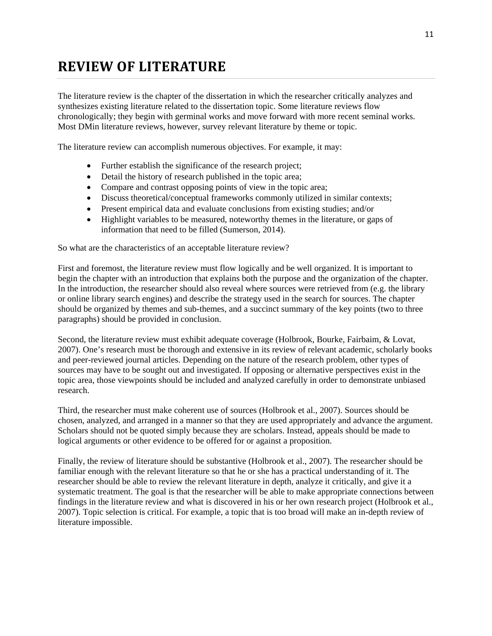# **REVIEW OF LITERATURE**

The literature review is the chapter of the dissertation in which the researcher critically analyzes and synthesizes existing literature related to the dissertation topic. Some literature reviews flow chronologically; they begin with germinal works and move forward with more recent seminal works. Most DMin literature reviews, however, survey relevant literature by theme or topic.

The literature review can accomplish numerous objectives. For example, it may:

- Further establish the significance of the research project;
- Detail the history of research published in the topic area;
- Compare and contrast opposing points of view in the topic area;
- Discuss theoretical/conceptual frameworks commonly utilized in similar contexts;
- Present empirical data and evaluate conclusions from existing studies; and/or
- Highlight variables to be measured, noteworthy themes in the literature, or gaps of information that need to be filled (Sumerson, 2014).

So what are the characteristics of an acceptable literature review?

First and foremost, the literature review must flow logically and be well organized. It is important to begin the chapter with an introduction that explains both the purpose and the organization of the chapter. In the introduction, the researcher should also reveal where sources were retrieved from (e.g. the library or online library search engines) and describe the strategy used in the search for sources. The chapter should be organized by themes and sub-themes, and a succinct summary of the key points (two to three paragraphs) should be provided in conclusion.

Second, the literature review must exhibit adequate coverage (Holbrook, Bourke, Fairbaim, & Lovat, 2007). One's research must be thorough and extensive in its review of relevant academic, scholarly books and peer-reviewed journal articles. Depending on the nature of the research problem, other types of sources may have to be sought out and investigated. If opposing or alternative perspectives exist in the topic area, those viewpoints should be included and analyzed carefully in order to demonstrate unbiased research.

Third, the researcher must make coherent use of sources (Holbrook et al., 2007). Sources should be chosen, analyzed, and arranged in a manner so that they are used appropriately and advance the argument. Scholars should not be quoted simply because they are scholars. Instead, appeals should be made to logical arguments or other evidence to be offered for or against a proposition.

Finally, the review of literature should be substantive (Holbrook et al., 2007). The researcher should be familiar enough with the relevant literature so that he or she has a practical understanding of it. The researcher should be able to review the relevant literature in depth, analyze it critically, and give it a systematic treatment. The goal is that the researcher will be able to make appropriate connections between findings in the literature review and what is discovered in his or her own research project (Holbrook et al., 2007). Topic selection is critical. For example, a topic that is too broad will make an in-depth review of literature impossible.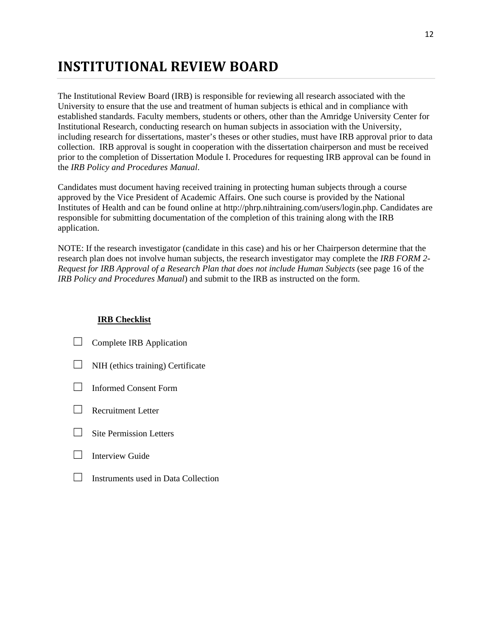# **INSTITUTIONAL REVIEW BOARD**

The Institutional Review Board (IRB) is responsible for reviewing all research associated with the University to ensure that the use and treatment of human subjects is ethical and in compliance with established standards. Faculty members, students or others, other than the Amridge University Center for Institutional Research, conducting research on human subjects in association with the University, including research for dissertations, master's theses or other studies, must have IRB approval prior to data collection. IRB approval is sought in cooperation with the dissertation chairperson and must be received prior to the completion of Dissertation Module I. Procedures for requesting IRB approval can be found in the *IRB Policy and Procedures Manual*.

Candidates must document having received training in protecting human subjects through a course approved by the Vice President of Academic Affairs. One such course is provided by the National Institutes of Health and can be found online at http://phrp.nihtraining.com/users/login.php. Candidates are responsible for submitting documentation of the completion of this training along with the IRB application.

NOTE: If the research investigator (candidate in this case) and his or her Chairperson determine that the research plan does not involve human subjects, the research investigator may complete the *IRB FORM 2- Request for IRB Approval of a Research Plan that does not include Human Subjects* (see page 16 of the *IRB Policy and Procedures Manual*) and submit to the IRB as instructed on the form.

### **IRB Checklist**

- $\Box$  Complete IRB Application
- $\Box$  NIH (ethics training) Certificate
- ☐ Informed Consent Form
- □ Recruitment Letter
- ☐ Site Permission Letters
- $\Box$  Interview Guide
- $\Box$  Instruments used in Data Collection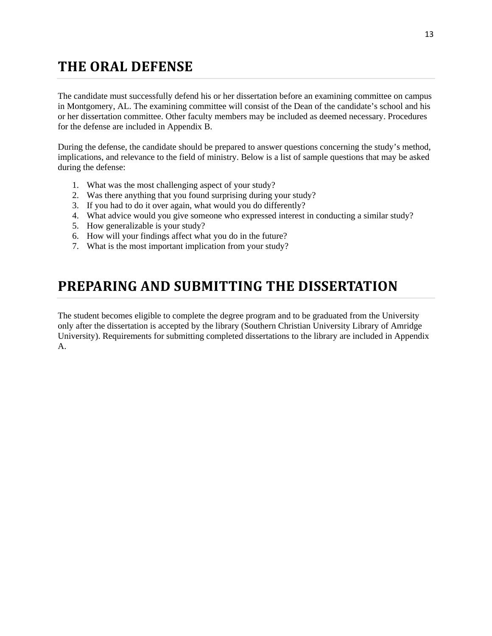# **THE ORAL DEFENSE**

The candidate must successfully defend his or her dissertation before an examining committee on campus in Montgomery, AL. The examining committee will consist of the Dean of the candidate's school and his or her dissertation committee. Other faculty members may be included as deemed necessary. Procedures for the defense are included in Appendix B.

During the defense, the candidate should be prepared to answer questions concerning the study's method, implications, and relevance to the field of ministry. Below is a list of sample questions that may be asked during the defense:

- 1. What was the most challenging aspect of your study?
- 2. Was there anything that you found surprising during your study?
- 3. If you had to do it over again, what would you do differently?
- 4. What advice would you give someone who expressed interest in conducting a similar study?
- 5. How generalizable is your study?
- 6. How will your findings affect what you do in the future?
- 7. What is the most important implication from your study?

# **PREPARING AND SUBMITTING THE DISSERTATION**

The student becomes eligible to complete the degree program and to be graduated from the University only after the dissertation is accepted by the library (Southern Christian University Library of Amridge University). Requirements for submitting completed dissertations to the library are included in Appendix A.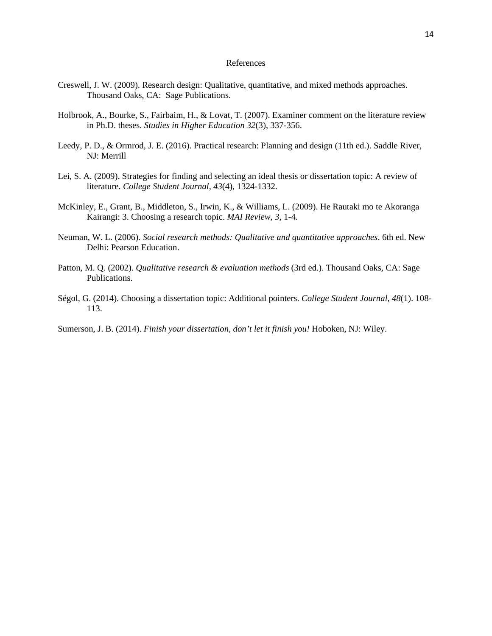### References

- Creswell, J. W. (2009). Research design: Qualitative, quantitative, and mixed methods approaches. Thousand Oaks, CA: Sage Publications.
- Holbrook, A., Bourke, S., Fairbaim, H., & Lovat, T. (2007). Examiner comment on the literature review in Ph.D. theses. *Studies in Higher Education 32*(3), 337-356.
- Leedy, P. D., & Ormrod, J. E. (2016). Practical research: Planning and design (11th ed.). Saddle River, NJ: Merrill
- Lei, S. A. (2009). Strategies for finding and selecting an ideal thesis or dissertation topic: A review of literature. *College Student Journal, 43*(4), 1324-1332.
- McKinley, E., Grant, B., Middleton, S., Irwin, K., & Williams, L. (2009). He Rautaki mo te Akoranga Kairangi: 3. Choosing a research topic. *MAI Review, 3*, 1-4.
- Neuman, W. L. (2006). *Social research methods: Qualitative and quantitative approaches*. 6th ed. New Delhi: Pearson Education.
- Patton, M. Q. (2002). *Qualitative research & evaluation methods* (3rd ed.). Thousand Oaks, CA: Sage Publications.
- Ségol, G. (2014). Choosing a dissertation topic: Additional pointers. *College Student Journal, 48*(1). 108- 113.
- Sumerson, J. B. (2014). *Finish your dissertation, don't let it finish you!* Hoboken, NJ: Wiley.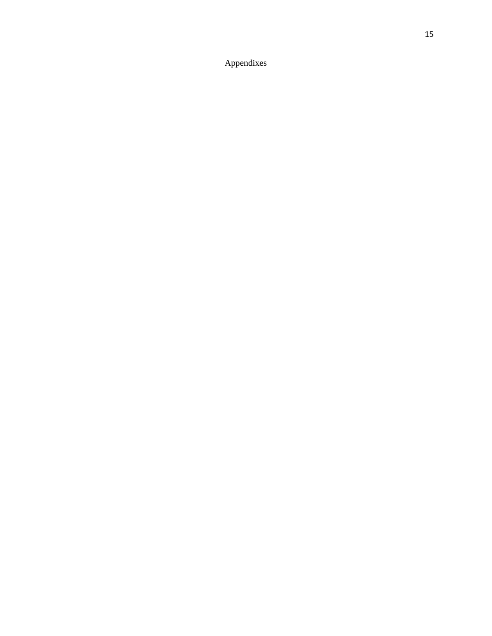Appendixes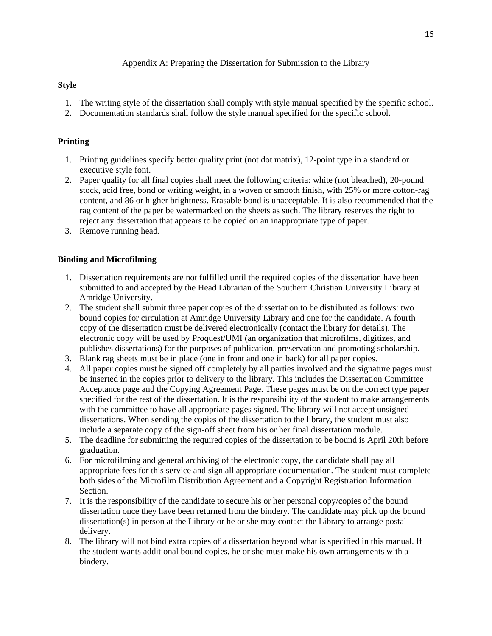Appendix A: Preparing the Dissertation for Submission to the Library

### **Style**

- 1. The writing style of the dissertation shall comply with style manual specified by the specific school.
- 2. Documentation standards shall follow the style manual specified for the specific school.

### **Printing**

- 1. Printing guidelines specify better quality print (not dot matrix), 12-point type in a standard or executive style font.
- 2. Paper quality for all final copies shall meet the following criteria: white (not bleached), 20-pound stock, acid free, bond or writing weight, in a woven or smooth finish, with 25% or more cotton-rag content, and 86 or higher brightness. Erasable bond is unacceptable. It is also recommended that the rag content of the paper be watermarked on the sheets as such. The library reserves the right to reject any dissertation that appears to be copied on an inappropriate type of paper.
- 3. Remove running head.

### **Binding and Microfilming**

- 1. Dissertation requirements are not fulfilled until the required copies of the dissertation have been submitted to and accepted by the Head Librarian of the Southern Christian University Library at Amridge University.
- 2. The student shall submit three paper copies of the dissertation to be distributed as follows: two bound copies for circulation at Amridge University Library and one for the candidate. A fourth copy of the dissertation must be delivered electronically (contact the library for details). The electronic copy will be used by Proquest/UMI (an organization that microfilms, digitizes, and publishes dissertations) for the purposes of publication, preservation and promoting scholarship.
- 3. Blank rag sheets must be in place (one in front and one in back) for all paper copies.
- 4. All paper copies must be signed off completely by all parties involved and the signature pages must be inserted in the copies prior to delivery to the library. This includes the Dissertation Committee Acceptance page and the Copying Agreement Page. These pages must be on the correct type paper specified for the rest of the dissertation. It is the responsibility of the student to make arrangements with the committee to have all appropriate pages signed. The library will not accept unsigned dissertations. When sending the copies of the dissertation to the library, the student must also include a separate copy of the sign-off sheet from his or her final dissertation module.
- 5. The deadline for submitting the required copies of the dissertation to be bound is April 20th before graduation.
- 6. For microfilming and general archiving of the electronic copy, the candidate shall pay all appropriate fees for this service and sign all appropriate documentation. The student must complete both sides of the Microfilm Distribution Agreement and a Copyright Registration Information Section.
- 7. It is the responsibility of the candidate to secure his or her personal copy/copies of the bound dissertation once they have been returned from the bindery. The candidate may pick up the bound dissertation(s) in person at the Library or he or she may contact the Library to arrange postal delivery.
- 8. The library will not bind extra copies of a dissertation beyond what is specified in this manual. If the student wants additional bound copies, he or she must make his own arrangements with a bindery.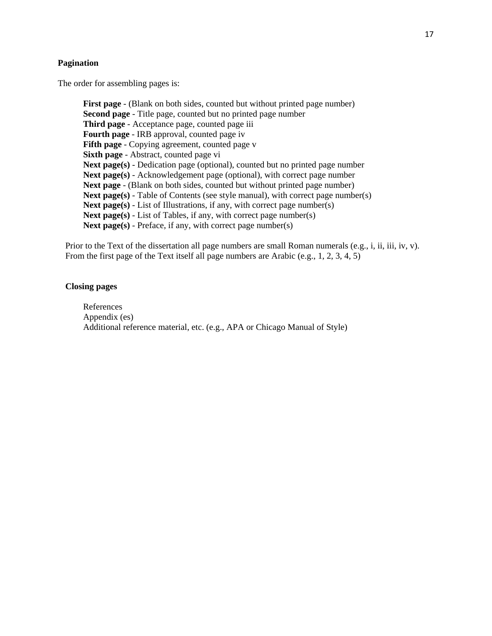#### **Pagination**

The order for assembling pages is:

**First page** - (Blank on both sides, counted but without printed page number) **Second page** - Title page, counted but no printed page number **Third page** - Acceptance page, counted page iii **Fourth page** - IRB approval, counted page iv **Fifth page** - Copying agreement, counted page v **Sixth page** - Abstract, counted page vi **Next page(s)** - Dedication page (optional), counted but no printed page number **Next page(s)** - Acknowledgement page (optional), with correct page number Next page - (Blank on both sides, counted but without printed page number) **Next page(s)** - Table of Contents (see style manual), with correct page number(s) **Next page(s)** - List of Illustrations, if any, with correct page number(s) **Next page(s)** - List of Tables, if any, with correct page number(s) Next page(s) - Preface, if any, with correct page number(s)

Prior to the Text of the dissertation all page numbers are small Roman numerals (e.g., i, ii, iii, iv, v). From the first page of the Text itself all page numbers are Arabic (e.g., 1, 2, 3, 4, 5)

### **Closing pages**

References Appendix (es) Additional reference material, etc. (e.g., APA or Chicago Manual of Style)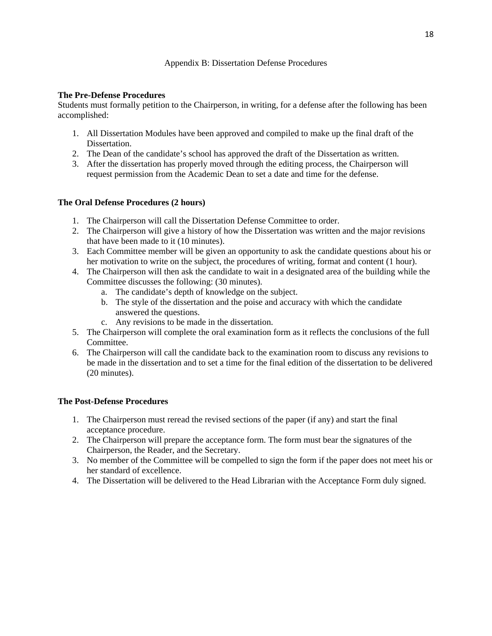### Appendix B: Dissertation Defense Procedures

### **The Pre-Defense Procedures**

Students must formally petition to the Chairperson, in writing, for a defense after the following has been accomplished:

- 1. All Dissertation Modules have been approved and compiled to make up the final draft of the Dissertation.
- 2. The Dean of the candidate's school has approved the draft of the Dissertation as written.
- 3. After the dissertation has properly moved through the editing process, the Chairperson will request permission from the Academic Dean to set a date and time for the defense.

### **The Oral Defense Procedures (2 hours)**

- 1. The Chairperson will call the Dissertation Defense Committee to order.
- 2. The Chairperson will give a history of how the Dissertation was written and the major revisions that have been made to it (10 minutes).
- 3. Each Committee member will be given an opportunity to ask the candidate questions about his or her motivation to write on the subject, the procedures of writing, format and content (1 hour).
- 4. The Chairperson will then ask the candidate to wait in a designated area of the building while the Committee discusses the following: (30 minutes).
	- a. The candidate's depth of knowledge on the subject.
	- b. The style of the dissertation and the poise and accuracy with which the candidate answered the questions.
	- c. Any revisions to be made in the dissertation.
- 5. The Chairperson will complete the oral examination form as it reflects the conclusions of the full Committee.
- 6. The Chairperson will call the candidate back to the examination room to discuss any revisions to be made in the dissertation and to set a time for the final edition of the dissertation to be delivered (20 minutes).

### **The Post-Defense Procedures**

- 1. The Chairperson must reread the revised sections of the paper (if any) and start the final acceptance procedure.
- 2. The Chairperson will prepare the acceptance form. The form must bear the signatures of the Chairperson, the Reader, and the Secretary.
- 3. No member of the Committee will be compelled to sign the form if the paper does not meet his or her standard of excellence.
- 4. The Dissertation will be delivered to the Head Librarian with the Acceptance Form duly signed.